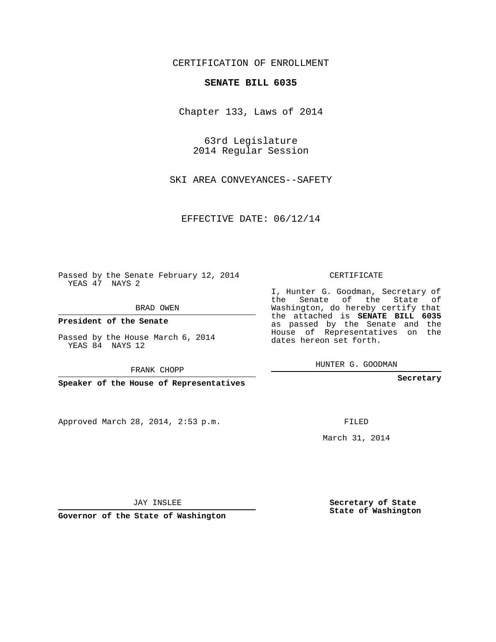# CERTIFICATION OF ENROLLMENT

### **SENATE BILL 6035**

Chapter 133, Laws of 2014

63rd Legislature 2014 Regular Session

SKI AREA CONVEYANCES--SAFETY

EFFECTIVE DATE: 06/12/14

Passed by the Senate February 12, 2014 YEAS 47 NAYS 2

BRAD OWEN

**President of the Senate**

Passed by the House March 6, 2014 YEAS 84 NAYS 12

FRANK CHOPP

**Speaker of the House of Representatives**

Approved March 28, 2014, 2:53 p.m.

CERTIFICATE

I, Hunter G. Goodman, Secretary of the Senate of the State of Washington, do hereby certify that the attached is **SENATE BILL 6035** as passed by the Senate and the House of Representatives on the dates hereon set forth.

HUNTER G. GOODMAN

**Secretary**

FILED

March 31, 2014

**Secretary of State State of Washington**

JAY INSLEE

**Governor of the State of Washington**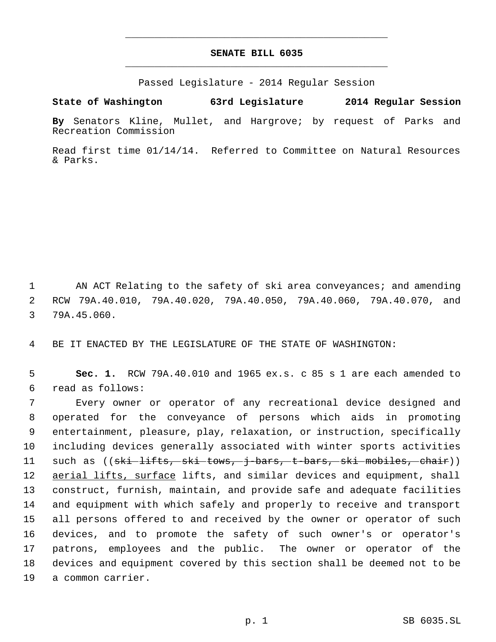# **SENATE BILL 6035** \_\_\_\_\_\_\_\_\_\_\_\_\_\_\_\_\_\_\_\_\_\_\_\_\_\_\_\_\_\_\_\_\_\_\_\_\_\_\_\_\_\_\_\_\_

\_\_\_\_\_\_\_\_\_\_\_\_\_\_\_\_\_\_\_\_\_\_\_\_\_\_\_\_\_\_\_\_\_\_\_\_\_\_\_\_\_\_\_\_\_

Passed Legislature - 2014 Regular Session

## **State of Washington 63rd Legislature 2014 Regular Session**

**By** Senators Kline, Mullet, and Hargrove; by request of Parks and Recreation Commission

Read first time 01/14/14. Referred to Committee on Natural Resources & Parks.

1 AN ACT Relating to the safety of ski area conveyances; and amending 2 RCW 79A.40.010, 79A.40.020, 79A.40.050, 79A.40.060, 79A.40.070, and 3 79A.45.060.

4 BE IT ENACTED BY THE LEGISLATURE OF THE STATE OF WASHINGTON:

 5 **Sec. 1.** RCW 79A.40.010 and 1965 ex.s. c 85 s 1 are each amended to 6 read as follows:

 Every owner or operator of any recreational device designed and operated for the conveyance of persons which aids in promoting entertainment, pleasure, play, relaxation, or instruction, specifically including devices generally associated with winter sports activities 11 such as ((<del>ski lifts, ski tows, j bars, t bars, ski mobiles, chair</del>)) 12 aerial lifts, surface lifts, and similar devices and equipment, shall construct, furnish, maintain, and provide safe and adequate facilities and equipment with which safely and properly to receive and transport all persons offered to and received by the owner or operator of such devices, and to promote the safety of such owner's or operator's patrons, employees and the public. The owner or operator of the devices and equipment covered by this section shall be deemed not to be a common carrier.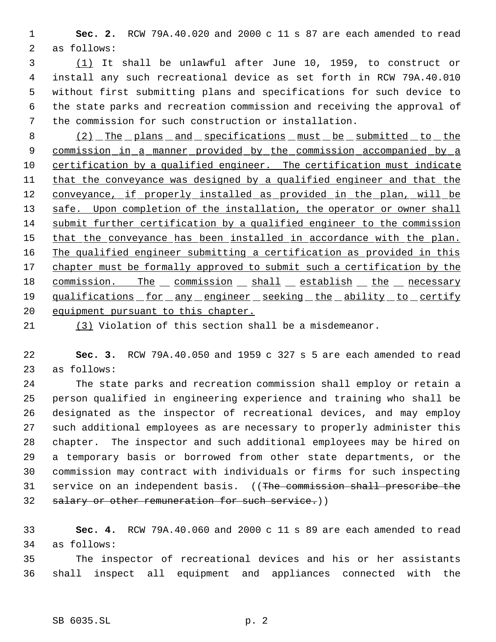**Sec. 2.** RCW 79A.40.020 and 2000 c 11 s 87 are each amended to read as follows:

 (1) It shall be unlawful after June 10, 1959, to construct or install any such recreational device as set forth in RCW 79A.40.010 without first submitting plans and specifications for such device to the state parks and recreation commission and receiving the approval of the commission for such construction or installation.

8 (2) The plans and specifications must be submitted to the commission in a manner provided by the commission accompanied by a 10 certification by a qualified engineer. The certification must indicate 11 that the conveyance was designed by a qualified engineer and that the 12 conveyance, if properly installed as provided in the plan, will be 13 safe. Upon completion of the installation, the operator or owner shall submit further certification by a qualified engineer to the commission 15 that the conveyance has been installed in accordance with the plan. The qualified engineer submitting a certification as provided in this 17 chapter must be formally approved to submit such a certification by the 18 commission. The commission shall establish the necessary 19 qualifications for any engineer seeking the ability to certify 20 equipment pursuant to this chapter.

(3) Violation of this section shall be a misdemeanor.

 **Sec. 3.** RCW 79A.40.050 and 1959 c 327 s 5 are each amended to read as follows:

 The state parks and recreation commission shall employ or retain a person qualified in engineering experience and training who shall be designated as the inspector of recreational devices, and may employ such additional employees as are necessary to properly administer this chapter. The inspector and such additional employees may be hired on a temporary basis or borrowed from other state departments, or the commission may contract with individuals or firms for such inspecting service on an independent basis. ((The commission shall prescribe the 32 salary or other remuneration for such service.))

 **Sec. 4.** RCW 79A.40.060 and 2000 c 11 s 89 are each amended to read as follows:

 The inspector of recreational devices and his or her assistants shall inspect all equipment and appliances connected with the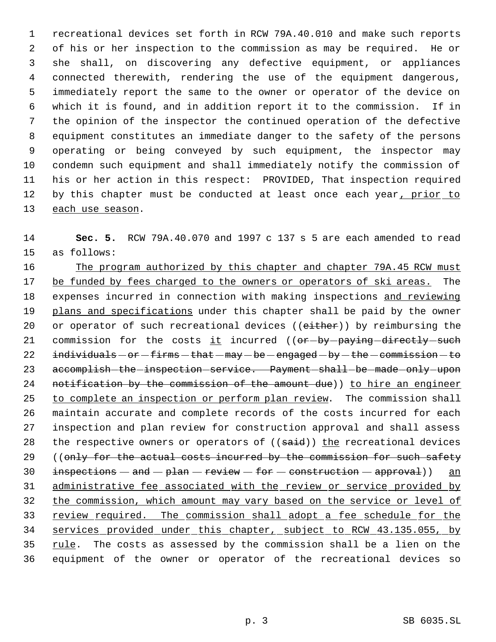recreational devices set forth in RCW 79A.40.010 and make such reports of his or her inspection to the commission as may be required. He or she shall, on discovering any defective equipment, or appliances connected therewith, rendering the use of the equipment dangerous, immediately report the same to the owner or operator of the device on which it is found, and in addition report it to the commission. If in the opinion of the inspector the continued operation of the defective equipment constitutes an immediate danger to the safety of the persons operating or being conveyed by such equipment, the inspector may condemn such equipment and shall immediately notify the commission of his or her action in this respect: PROVIDED, That inspection required 12 by this chapter must be conducted at least once each year, prior to 13 each use season.

 **Sec. 5.** RCW 79A.40.070 and 1997 c 137 s 5 are each amended to read as follows:

16 The program authorized by this chapter and chapter 79A.45 RCW must be funded by fees charged to the owners or operators of ski areas. The 18 expenses incurred in connection with making inspections and reviewing 19 plans and specifications under this chapter shall be paid by the owner 20 or operator of such recreational devices ((either)) by reimbursing the 21 commission for the costs  $it$  incurred (( $or$ - $by$ - $paying$ -directly-such individuals  $-$  or  $-$  firms  $-$  that  $-$  may  $-$  be  $-$  engaged  $-$  by  $-$  the  $-$  commission  $-$  to 23 accomplish-the-inspection-service. Payment-shall-be-made-only-upon 24 notification by the commission of the amount due)) to hire an engineer to complete an inspection or perform plan review. The commission shall maintain accurate and complete records of the costs incurred for each inspection and plan review for construction approval and shall assess 28 the respective owners or operators of ((said)) the recreational devices 29 ((only for the actual costs incurred by the commission for such safety 30  $inspections - and - plan - review - for - construction - approx)$  and administrative fee associated with the review or service provided by the commission, which amount may vary based on the service or level of 33 review required. The commission shall adopt a fee schedule for the services provided under this chapter, subject to RCW 43.135.055, by rule. The costs as assessed by the commission shall be a lien on the equipment of the owner or operator of the recreational devices so